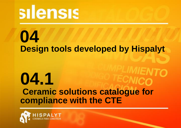# silensis

## **Design tools developed by Hispalyt 04**

## **Ceramic solutions catalogue for compliance with the CTE 04.1**

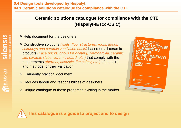## ❖ Help document for the designers.

- Constructive solutions *(walls, floor structures, roofs, floors, chimneys and ceramic ventilation ducts)* based on all ceramic products *(Face bricks, bricks for coating, Termoarcilla, ceramic tile, ceramic slabs, ceramic board, etc.)* that comply with the requirements *(thermal, acoustic, fire safety, etc.)* of the CTE and methods for their validation.
- ❖ Eminently practical document.
- ❖ Reduces labour and responsibilities of designers.
- ❖ Unique catalogue of these properties existing in the market.



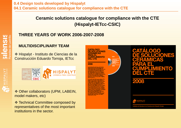## **THREE YEARS OF WORK 2006-2007-2008**

## **MULTIDISCIPLINARY TEAM**

 Hispalyt - Instituto de Ciencias de la Construcción Eduardo Torroja, IETcc



◆ Other collaborators (UPM, LABEIN, model makers, etc)

❖ Technical Committee composed by representatives of the most important institutions in the sector.



**ALLY THIS PALYT**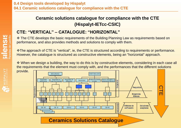## **CTE: "VERTICAL" – CATALOGUE: "HORIZONTAL"**

◆ The CTE develops the basic requirements of the Building Planning Law as requirements based on performance, and also provides methods and solutions to comply with them.

The approach of CTE is "vertical", ie, the CTE is structured according to requirements or performance. However, the catalogue is structured as constructive elements, being an "horizontal" approach.

 When we design a building, the way to do this is by constructive elements, considering in each case all the requirements that the element must comply with, and the performances that the different solutions



HISPALYT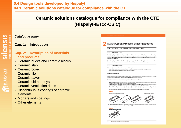## **0.4 Design tools developed by Hispalyt 04.1 Ceramic solutions catalogue for compliance with the CTE**

## **Ceramic solutions catalogue for compliance with the CTE (Hispalyt-IETcc-CSIC)**

#### *Catalogue Index*

#### **Cap. 1: Introdution**

#### **Cap. 2: Description of materials and products**

- Ceramic bricks and ceramic blocks
- Ceramic slab

**SIICNS**<br>Paredes de Ladr

**SALE HISPALYT** 

- Ceramic board
- Ceramic tile
- Ceramic paver
- Ceramic chimneneys
- Ceramic ventilation ducts
- Discontinuous coatings of ceramic elements
- Mortars and coatings
- Other elements

#### MATERIALES CERÁMICOS Y OTROS PRODUCTOS

#### **LADRILLOS Y BLOQUES CERÁMICOS**  $2.1.$

#### 2.1.1 Definición y uso

**MARINER CRANEOUX CRECK PRODUCTOS** 

Los lidrilos y bloques centralos eoripiscas perafébrica de ebañada eleboradas a partir de erolla u otros meteósles erollosos con o ein arena, combuetblee u croe adfivos, coodes a una temperatura europriemente elevada para ebargar una ligazón cerenice. Les pisose ecn generalmente ortoadrices de temaños variables y están peneadas para que la manipulación en la queste en com ese estolla.

Los ladrilos y bloques cerámicos en función de eus tipos y formatos pueden utilizares en los eiguientes elementos constructivos facindas, madienarias, particimas interimas verticalas de ba adilicios, muros en contento con el terreno, etc.

#### 2.1.2 Tipos y formatos

Existen dos tipos comunes de clasificaciones para los ladrillos y bloques centralcos: Según eu uso: pistas vistas (cuendo el mente una de eus caras no vaya a estrevesida) y pistas para revestir. Según eu configuración: medicos, perforedos eligenados y huscos.

#### Ladrillos cara vista

Los lechibs cam vista ecnibe que es utilizan para una fábrica de albartiera asterior que no está protegida mediante una capa de asyoco o por un revestimiento. La fébrica de ladrilos cara vista puede est o no portente

Los ladrilos cara vista pueden esr esgún eu configuración ladrilos medicas o perforados

\* Lachillo ma cizo: «» «l'hchilo en perforacione o con perforacione» que etrevisem por completo el ladrilo, perpendicularmente a la cara de apoyo, con un volumen de huacos inferior el 20%.<br>Los ladrilos maciose se obtienen mediante extrusionado de la arcilla a travée de una boquila o por preneado edore un

moltis, este último tipo de ladrilos incorporan en una o ambas teblas unos rebaise lamados oszoletas. Dentro de los ledrilos medicas cere viste existe otro tipo llemedos ledrilos de tejer o menuel que son ledrilos moldeados

manualmente o mediante un proceso de moldeado medianoo que interte simular las deformaciones e imperfecciones de be ledillos hachos a mano, elerdo eu apariencia por lo tanto tosca con caras rugosas y no muy planas.

La del lo concirco acquaist

Route21

Distintos modelos de ladrifio madzo<br>osra vieta



\* Lachillo perfora do: ee el lachilo con una o máe perforacionse que etravisem por completo el lachilo, perpendicularmente a la cara de escuo, con un volumen de huecos interior el 45%.



 $65$ LESSAINT / CATALOGO DE SOLUCIONES CESANDAS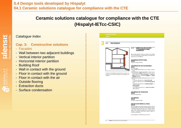## **0.4 Design tools developed by Hispalyt 04.1 Ceramic solutions catalogue for compliance with the CTE**

## **Ceramic solutions catalogue for compliance with the CTE (Hispalyt-IETcc-CSIC)**

#### *Catalogue Index*

#### **Cap. 3: Constructive solutions**

- Facades
- Wall between two adjacent buildings
- Vertical interior partition
- Horizontal interior partition
- Building Roof
- Wall in contact with the ground
- Floor in contact with the ground
- Floor in contact with the air
- Outside flooring
- Extraction ducts
- Surface condensation

| <b>FACI-IADAS</b><br><b>FACHADAS</b><br>3.1<br>ÁMBITO DE APLICACIÓN<br>3.1.1<br>Y CONSIDERACIONES<br><b>All Concept</b>                                                                                                                                                                                                                                                                                                                                                                                                                                                                                                                                                                                                                                                                                                                                                                                                                                                                                                                                                                                                                                                                                                                                                                                                                                                                                                                                                                                                                                                                                                                                                                                                                                                  |
|--------------------------------------------------------------------------------------------------------------------------------------------------------------------------------------------------------------------------------------------------------------------------------------------------------------------------------------------------------------------------------------------------------------------------------------------------------------------------------------------------------------------------------------------------------------------------------------------------------------------------------------------------------------------------------------------------------------------------------------------------------------------------------------------------------------------------------------------------------------------------------------------------------------------------------------------------------------------------------------------------------------------------------------------------------------------------------------------------------------------------------------------------------------------------------------------------------------------------------------------------------------------------------------------------------------------------------------------------------------------------------------------------------------------------------------------------------------------------------------------------------------------------------------------------------------------------------------------------------------------------------------------------------------------------------------------------------------------------------------------------------------------------|
|                                                                                                                                                                                                                                                                                                                                                                                                                                                                                                                                                                                                                                                                                                                                                                                                                                                                                                                                                                                                                                                                                                                                                                                                                                                                                                                                                                                                                                                                                                                                                                                                                                                                                                                                                                          |
|                                                                                                                                                                                                                                                                                                                                                                                                                                                                                                                                                                                                                                                                                                                                                                                                                                                                                                                                                                                                                                                                                                                                                                                                                                                                                                                                                                                                                                                                                                                                                                                                                                                                                                                                                                          |
| <b>GENERALES</b><br>Este apartado detala el ámbito de aploación del Código<br>Técnico de la Edificación a las fachadas, que varia según los<br>detintos Documentos Básicos.<br>SEGURIDAD ESTRUCTURAL.<br>DB SE.<br>Se aplica a cuelquier fachada.<br>SEGURIDAD EN CASO DE INCENDIO.<br>DB SL<br>Sevenafectadae<br>e) las fachades eustentantes (munce de carga o arribetra-<br>miento)<br>b) he fachadae enfrantadae esparadae a menoe de 3 m<br>Se derominan fachadae a loe cemenientos en contacto con-<br>pertenecientes a adrindos diferentes o al mismo edificio<br>cuendo delimiten un sector de incendro, un recinto de<br>el exterior cuya inclinación esa euperior a 60º respecto a la<br>nasgo especial alto, una escalara protegida o un pasado<br>horizontal.<br>profesion diferentes.<br>d) les partes de la fachada en les que se produce un encuen-<br>tim-nom<br>- un elemento delimitador de un sector de incendio.<br>- un elemento delimitador de una zona demesso especial<br>alin.<br>- un elemento delimitador de una escalera protegida o un<br>parão potegido.<br>una medianeria.<br>- una cubiata pertensciente a un ascitor de incendio o<br>edico distante.<br>SEGURIDAD DE UTILIZACIÓN.<br>DB SU.<br>No efecte a les fachades.<br>SALUBRIDAD.<br>DB HS.<br>Se aplica a cuelquier fachada.<br>PROTECCIÓN FRENTE AL RUIDO.<br>DB HR.<br>Alecte a equalise pertee de la fachada que delimiten recintos<br>protegidos teles como habitacionas y estancias (domitorios,<br>comedome, bibliotecee, eslonse, etc) en edificios residen-<br>cidae; aules, bibliotecae y despechos en edificios de uso<br>docente; o quirdience, habitaciones y eslas de espara en<br>edificios de uso esniterio.<br>No es de aploación a edificios de uso comercial. |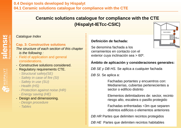## *Catalogue Index*

#### **Cap. 3: Constructive solutions**

*The structure of each section of this chapter is the following :*

- *-* Field of application and general considerations.
- Constructive solutions considered.
- Regulatory requirements CTE.
	- *- Structural safety(SE)*
	- *- Safety in case of fire (SI)*
	- *- Safety in use (SU)*
	- *- Health (HS)*
	- *- Protection against noise (HR)*
	- *- Energy saving (HE)*
- Design and dimensioning.
	- *- Design procedure*
	- *- Tables*

## **Definición de fachada:**

Se denomina fachada a los cerramientos en contacto con el exterior cuya inclinación sea > 60º.



## **Ámbito de aplicación y consideraciones generales:**

*DB SE y DB HS.* Se aplica a cualquier fachada

*DB SI.* Se aplica a:

Fachadas portantes y encuentros con: Medianerías, cubiertas pertenecientes a sector o edificio distinto

Elementos delimitadores de: sector, recinto riesgo alto, escalera o pasillo protegido

Fachadas enfrentadas <3m que separen distintos edificios o elementos anteriores

*DB HR* Partes que delimiten recintos protegidos

*DB HE* Partes que delimiten recintos habitables

**SII CNSIS**<br>Paredes de Ladrillo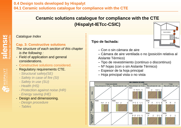## *Catalogue Index*

#### **Cap. 3: Constructive solutions**

*The structure of each section of this chapter is the following :*

- *-* Field of application and general considerations.
- Constructive solutions considered.
- Regulatory requirements CTE.
	- *- Structural safety(SE)*
	- *- Safety in case of fire (SI)*
	- *- Safety in use (SU)*
	- *- Health (HS)*
	- *- Protection against noise (HR)*
	- *- Energy saving (HE)*
- Design and dimensioning.
	- *- Design procedure*
	- *- Tables*

## **Tipo de fachada:**

- Con o sin cámara de aire
- Cámara de aire ventilada o no (posición relativa al Aislante Térmico)
- Tipo de revestimiento (continuo o discontinuo)
- Nº hojas (con o sin Aislante Térmico)
- Espesor de la hoja principal
- Hoja principal vista o no vista





**SILENSIS**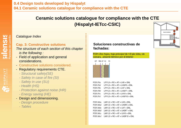### *Catalogue Index*

#### **Cap. 3: Constructive solutions**

*The structure of each section of this chapter is the following :*

- *-* Field of application and general considerations.
- Constructive solutions considered.
- Regulatory requirements CTE.
	- *- Structural safety(SE)*
	- *- Safety in case of fire (SI)*
	- *- Safety in use (SU)*
	- *- Health (HS)*
	- *- Protection against noise (HR)*
	- *- Energy saving (HE)*
- Design and dimensioning.
	- *- Design procedure*
	- *- Tables*

## **Soluciones constructivas de fachadas:**

FC01: Dos hojas, hoja principal de 1/2 pie vista, sin cámara, aislante térmico por el interior



| FC01.P.a              | $LP11.5 + RC + AT + LH5 + ENL$    |
|-----------------------|-----------------------------------|
| FC01.Pa               | LP11,5 + RC + AT + LHGF5 + ENL    |
| FC01.P.b              | $LP11.5 + RC + AT + LH7 + ENL$    |
| FC01.P.b <sup>*</sup> | LP11.5 + RC + AT + LHGF7 + ENL    |
| FC01.P.c              | LP11.5 + RC + AT + LH10 + ENL     |
| FC01.P.c"             | $LP11.5 + RC + AT + LHGF10 + ENL$ |
|                       |                                   |

FC01.M.a  $LM11.5 + RC + AT + LH5 + ENL$ FC01.M.a'  $LM11,5 + RC + AT + LHGF5 + ENL$ FC01.M.b  $LM11.5 + RC + AT + LH7 + ENL$ FC01.M.b'  $LM11,5 + RC + AT + LHGF7 + ENL$ FC01.M.c  $LM11,5 + RC + AT + LH10 + ENL$ FC01.M.c'  $LM11,5 + RC + AT + LHGF10 + ENL$ 



**SIICNSI**<br>Paredes de Ladri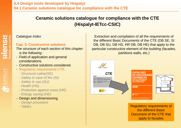## *Catalogue Index*

#### **Cap. 3: Constructive solutions**

*The structure of each section of this chapter is the following :*

- *-* Field of application and general considerations.
- Constructive solutions considered.
- Regulatory requirements CTE.
	- *- Structural safety(SE)*
	- *- Safety in case of fire (SI)*
	- *- Safety in use (SU)*
	- *- Health (HS)*
	- *- Protection against noise (HR)*
	- *- Energy saving (HE)*
- Design and dimensioning.
	- *- Design procedure*
	- *- Tables*

Extraction and compilation of all the requirements of the different Basic Documents of the CTE (DB SE, SI DB, DB SU, DB HS, HR DB, DB HE) that apply to the particular constructive element of the building (facades, partitions walls, etc.)



Regulatory requirements of the different Basic Document of the CTE that apply to facades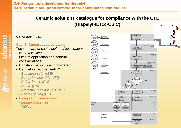## **Ceramic solutions catalogue for compliance with the CTE**

**(Hispalyt-IETcc-CSIC)**

## *Catalogue Index*

#### **Cap. 3: Constructive solutions**

*The structure of each section of this chapter is the following :*

- *-* Field of application and general considerations.
- Constructive solutions considered.
- Regulatory requirements CTE.
	- *- Structural safety(SE)*
	- *- Safety in case of fire (SI)*
	- *- Safety in use (SU)*
	- *- Health (HS)*
	- *- Protection against noise (HR)*
	- *- Energy saving (HE)*
- Design and dimensioning.
	- *- Design procedure*
	- *- Tables*

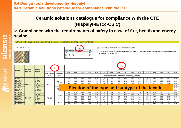## **Compliance with the requirements of safety in case of fire, health and energy saving.**



HISPALYT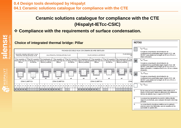## **Compliance with the requirements of surface condensation.**

| <b>Choice of integrated thermal bridge: Pillar</b>                           |                                                          |                                      |                                                                                |                                                                                                                                                                                         |                                            |                               |                                  |                                                                                       |                                                                                                                                                                                           | <b>NOTAS</b>                                                                                                                                                                      |  |  |  |
|------------------------------------------------------------------------------|----------------------------------------------------------|--------------------------------------|--------------------------------------------------------------------------------|-----------------------------------------------------------------------------------------------------------------------------------------------------------------------------------------|--------------------------------------------|-------------------------------|----------------------------------|---------------------------------------------------------------------------------------|-------------------------------------------------------------------------------------------------------------------------------------------------------------------------------------------|-----------------------------------------------------------------------------------------------------------------------------------------------------------------------------------|--|--|--|
| FACHADA DE DOBLE HOJA CON CÁMARA DE AIRE VENTILADA                           |                                                          |                                      |                                                                                |                                                                                                                                                                                         |                                            |                               |                                  |                                                                                       |                                                                                                                                                                                           | $f_{\text{Rul}} \geq f_{\text{Rulmin}}$<br>Cumple la comprobación de la limitación de                                                                                             |  |  |  |
| AISLANTE, CAMARA VENTILADA Y HOJA<br>PRINCIPAL POR DELANTE DEL PILAR         |                                                          | HOJA PRINCIPAL POR DELANTE DEL PILAR |                                                                                |                                                                                                                                                                                         | PILAR CHAPADO AL EXTERIOR                  |                               |                                  | PILAR ENRASAD                                                                         |                                                                                                                                                                                           | condensaciones superficiales según el apdo.3.2.3. del<br>DB HE 1 para pilares de hormigón de 50 cm x 50 cm o<br>inferior climensión.                                              |  |  |  |
| Pilar revestido al<br>interior por hoja de   al interior por hoja<br>fábrica | Pilar NO revestido   Pilar trasdosado al  <br>de fábrica | fábrica y aislante                   | Pilar revestido al<br>fábrica                                                  | Pilar NO revestido   Pilar trasdosado al<br>interior por hoja de interior por hoja de al interior por hoja interior por hoja de interior por hoja de al interior por hoja<br>de fábrica | fábrica y aislante                         | Pilar revestido al<br>fábrica | Pilar NO revestido<br>de fábrica | Pilar trasdosado al l<br>Pilar<br>interior por hoja de linterio<br>fábrica y aislante | M                                                                                                                                                                                         | $f_{\text{Rul}} \geq f_{\text{Rulunlin}}$<br>Cumple la comprobación de la limitación de                                                                                           |  |  |  |
|                                                                              |                                                          |                                      |                                                                                |                                                                                                                                                                                         |                                            |                               |                                  |                                                                                       | condensaciones superficiales según el apdo.3.2.3. del<br>DB HE 1 para pilares de hormigón de 50 cm x 50 cm o<br>inferior dimensión, o metálicos de 30 cm x 30 cm o inferior<br>dimensión. |                                                                                                                                                                                   |  |  |  |
|                                                                              |                                                          |                                      |                                                                                |                                                                                                                                                                                         |                                            | $\frac{1}{2}$<br>m            | ▒                                | ▦<br>圆                                                                                | 30                                                                                                                                                                                        | $f_{\text{est}} \geq f_{\text{Rstrein}}$                                                                                                                                          |  |  |  |
| <b>INT</b><br>INT<br>ZONA CLIMÁTICA                                          |                                                          | INT<br>INT<br>INT<br>ZONA CLIMÁTICA  |                                                                                |                                                                                                                                                                                         | <b>INT</b><br>INT<br>INT<br>ZONA CLIMÁTICA |                               |                                  | INT<br>ZONA                                                                           |                                                                                                                                                                                           | Cumple la comprobación de la limitación de<br>condensaciones superficiales según el apdo.3.2.3. del<br>DB HE 1 para pilares de hormigón de 30 cm x 30 cm o<br>inferior dimensión. |  |  |  |
| M : M > M + M + M                                                            |                                                          |                                      | $M$ $M$ $M$ $M$ : $M$ $M$ $M$ $M$ $M$ :<br>$M$ $M$ $M$ $M$ $M$ $M$ $M$ $M$ $M$ |                                                                                                                                                                                         |                                            |                               |                                  |                                                                                       |                                                                                                                                                                                           | $f_{\text{rad}} < f_{\text{Rstrich}}$                                                                                                                                             |  |  |  |
|                                                                              |                                                          |                                      |                                                                                |                                                                                                                                                                                         |                                            |                               |                                  |                                                                                       |                                                                                                                                                                                           | En los casos en los que el aislante rodea al pilar por el<br>interior, la información dada es válida para una resistencia<br>térmica de aislante mayor o igual a 0,3 m°K/W.       |  |  |  |
|                                                                              |                                                          |                                      |                                                                                |                                                                                                                                                                                         |                                            |                               |                                  |                                                                                       | 2.                                                                                                                                                                                        | Los esquemas representan la posición relativa del pilar<br>respecto a la fachada, para cualquier dimensión de la hoja.<br>principal.                                              |  |  |  |
|                                                                              |                                                          |                                      |                                                                                |                                                                                                                                                                                         |                                            |                               |                                  |                                                                                       | з.                                                                                                                                                                                        | La comprobación de pilares metálicos se ha realizado<br>para los casos más habituales, que son aquellos en los<br>que el pilar no queda visto.                                    |  |  |  |

HISPALYT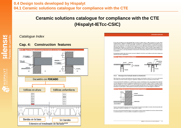# **SIICNSIS**

HISPALYT

## *Catalogue Index*

## **Cap. 4: Construction features**



En las juntas de dilatación de la hoja principal debe colocarse un sellante sobre un releno introducido en la junta. Deben emplearse rellence y selantes de materiales que tengan una elasticidad y una adherencia suficientes para absorber los movimientos de la hoja previstos y que sean impermeables y resistentes a los agentes atmosféricos. La profundidad del sellante debe ser mayor o igual que 1 cm y la relación entre su espesor y su anchura debe estar comprendida entre 0,5 y 2. En fachadas entoscadas debe ennasarse con el paramento de la hoja principal sin enfoscar. Cuando se utilicen chapas metálicas en las juntas de dilatación, deben disponerse las mismas de tal forma que éstas cubran a ambos lados de la junta una banda de muro de 5 cm como mínimo y cada chana debe fiame menicioamente en dicha banda y selaras su extremo comernantiente fim ra 26 del DR HS 11

DISPOSICIONES CONSTRUCTIVAL

El revestimiento exterior debe estar provisto de juntas de dilatación de tal forma que la distancia entre juntas contiguas sea suficiente para evitar su agrietamiento

#### **DR HS 1 Figure 2.6 P**



#### 4.1.2 Arranque de la fachada desde la cimentación

Debe disponerse una barrera impermeable que cubra todo el expesor de la fachada a más de 15 cm por encima del rável del suelo exterior para evitar el ascenso de aqua por capitaridad o adoptarse otra solución que produzca el mismo efecto.

Cuando la fachada esté constituida por un material poroso o tenga un revestimiento poroso, para protegerla de las salpicaduras, debe disponerse un zócalo de un material cuyo coeficiente de succión sea inferior o igual a 4,5Kg/m2-min según el ensayo descrito en UNE EN 772-11:2001 v UNE EN 772-11:2001/A1:2006, de más de 30 cm de altura sobre el nivel del suelo exterior que cubra el impermeablizante del muro o la barrera impermeable dispuesta entre el muro y la fachada, y sellarse la unión con la fachada en su parte superior, o debe adoptante otra solución que produzca el mismo efecto (figura 2.7 del DB HS 1).



Cuando no sea necesaria la disposición del zócalo, el remate de la barrera impermeable en el exterior de la fachada debe realizarse según lo descrito en el apartado 4.4.1.1 o disponiendo un sellado.

En el caso en que la fachada partiese desde un muro de sótano, la solución sería la resultante de sumar las condiciones dadas en el presente apartado con las que se definen más adelante en el apartado 4.6.1.

**HISPALYT / CATÁLOGO DE SOLUCIONES CERÁMICAS 279**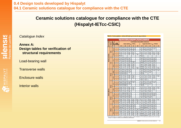*Catalogue Index*

**Annex A: Design tables for verification of structural requirements**

Load-bearing wall

Transverse walls

Enclosure walls

Interior walls

|        |               |                |                         | lianto sria imo del forjada<br>Filipidas de la secolida im |                                    |                                 |                              |                                |                                          |                                |                                 |                                          |                            |  |
|--------|---------------|----------------|-------------------------|------------------------------------------------------------|------------------------------------|---------------------------------|------------------------------|--------------------------------|------------------------------------------|--------------------------------|---------------------------------|------------------------------------------|----------------------------|--|
|        | ь             | ă              |                         | Luz del forjado en tranvo abiado o extrenso (mi            |                                    |                                 |                              |                                |                                          |                                |                                 |                                          |                            |  |
| 星島     | ă             | gang i<br>ŧ    | <b>H'de</b><br>forjados |                                                            |                                    | Cargas medias (q., , , 7 kH/nr) |                              |                                | Corgas sites (7 MA/ey < q _ _ +10 MA/ey) |                                |                                 |                                          |                            |  |
| E<br>E |               | ō              | lor eacina              | 4,00                                                       | 430                                | 6.00                            | C.CO                         | 6,80                           | 1,00                                     | 2.58                           | 4.80                            | 450                                      | 6.00                       |  |
|        |               | €              | ŧ                       | 30시 20시 21)<br>- 17 3                                      | 2012/12/18<br>38.7                 | 18/34/27<br>87.4                | 61727118<br>47.4             |                                | 20122119<br>15.1                         | 30/47/45<br>Mai                | 367.307.24<br>28.4              | 37.733.734<br>33.9                       |                            |  |
|        |               | Ξ<br>킞         | ż                       | 19.128.137<br>IE.                                          | 733.73<br><b>STA</b>               | 11.155.15<br>28.0               | <b>BY 34721</b><br>40.8      | $\ddot{\phantom{a}}$           | 1,334.0<br>8.81                          | e tre co<br>шs                 | 53 153 153<br>273               |                                          | $\ddot{\phantom{a}}$       |  |
|        | 튒<br>耍        | G<br>š         | ŧ                       | 27/1207-<br>ua                                             | 35, 128, 1-<br>19.8                | 34, 207<br>383                  | 20/25 (*<br>40.8             | $\sim$                         | 23 (20 )<br>482                          | IT CERA<br>32.8                | 32/2011<br>322                  | 2012/12/12<br>48.7                       | 39.7.38.7<br>Mi            |  |
| i      |               |                | z                       | 27726<br>1EJ                                               | 10.127.<br>17.8                    | 33.1281<br>322                  | 307.00<br>850                | 18/34<br>ra.a                  | 調べ取り<br>100                              | 38 (33)<br>11.7                | 267287<br>TEM                   | 23/28<br>38.8                            | 18/38<br><b>MA</b>         |  |
| Ē      |               |                | a,                      | 특명의                                                        |                                    |                                 | ۰                            |                                | 異て悪く<br>世主神                              |                                | .,                              |                                          |                            |  |
| ā      |               | ģ<br>2         | ٠                       | <b>PYLVY</b> N<br>12.91                                    | 化氯酸盐<br>14.07                      | 19734727<br>0.04                | $\overline{a}$               |                                | <b>BOY SEAN</b><br>4,471                 | 28/12/01/20<br>14.0            | 10/28/23<br>22.8                | 37 / 33 / 36<br>33.8                     |                            |  |
| ē      |               |                | $2 - 1$                 | 28.122.1<br>10.3<br>m                                      | ment en<br>17.8<br>T.              | 16/31/34<br>27.8<br><b>FER</b>  | i.<br><b>STOR</b>            | $\ddot{\phantom{a}}$           | 18,116,1<br>8.74<br>43,543               | 蜜<br>ᇒ<br>nt.                  | 38.7.30.7.28<br>372<br>89 B.A   | 36738728<br>451<br><b>A STEP</b>         | $\ddot{\phantom{a}}$       |  |
|        | 뷰             |                | ٠                       | 0.48                                                       | Titul                              | 11/                             | 82.0                         | $\ddot{\phantom{a}}$           | and prime                                | 7.00                           | 14.0                            | 88. d                                    |                            |  |
|        |               | g              | ×                       | 127 287<br><b>SP</b><br>異て思う                               | 307.271<br>18.01<br>128            | 361 XV<br>33.1 28 v             | 37V301<br>638                | $\sim$                         | any any -<br>8.871<br>14/14/             | INVIIV<br>8.837<br>16/11       | 2012/01/1<br>TKIP<br>267281     | 2012/02/15<br>31. I<br>34/30             | $\sim$                     |  |
|        |               | 斐              | $2 - 1$<br>ă            | ner<br>第六期                                                 | 12.2<br>吧哥                         | 248<br>31,1271                  | 84.0<br>30, (1991)           | $\sim$<br>18.134.1             | and points<br>SAV SAY +                  | 8.41<br>21/19                  | 12.4<br>27.1241                 | 36.4<br>実にのお願い                           | $\sim$<br>19.1.12.         |  |
|        |               |                |                         | 6.80<br>27,247%                                            | 21/127/122                         | <b>TILE</b><br>37.132.128       | 208                          | NJ                             | and points<br>22/20/18                   | ïш<br>2012/07/23               | 10.8<br>327.287.23              | 35.6<br>36732728                         | m a<br>39/35/38            |  |
|        |               | Î<br>뵟         | ŧ<br>z                  | 10.4<br>18/10/20                                           | 14.8<br>22/12/01/23                | 027<br>37.133.128               | $\overline{a}$<br>٠          | <br>$\ddot{\phantom{a}}$       | 2.42<br>25/21/                           | 12.1<br>2012/02/22             | 32.4<br>19.1.10.1.24            | 31.0<br>$\overline{\phantom{a}}$         | 41.0<br>.,                 |  |
|        | Seath         |                | n                       | 147<br>737<br>39.0                                         | <b>ZTJ</b><br><b>THA</b>           | 14.1                            | $\sim$                       | $\ddot{\phantom{a}}$           | 880<br>1300<br>38,2                      | tha<br>                        | 12.8                            | ۰                                        |                            |  |
|        |               |                | ٠                       | 第7章)                                                       | 7.28.<br>23                        | <b>USB</b>                      | (38)                         | $\cdots$                       | 新子院                                      | 28 (22)                        | <b>31</b><br><b>A 227 Y</b>     | 34/30+                                   | 1.38<br>t.                 |  |
|        |               | G<br>斐<br>m    | ż                       | 11.3<br>調子期子<br>11.0                                       | THEM<br>187.187<br>181             | 224<br>32/28/<br>322            | <b>ACT</b><br>20/30/<br>#1.8 |                                | 0.19<br>異の時の<br>0.78                     | 8.00<br>18(41)<br>11.47        | <b>TRA</b><br>30/27/<br>19.2    | 355<br>2012/01/1<br>35.7                 | PA.O                       |  |
|        |               |                | ٠                       | 2012年6<br>141                                              | 367.357<br>ar r                    | $\overline{a}$                  | $\cdots$                     | $\cdots$                       | 247227<br>$10 - 10$                      | 36 (35)<br>ma                  |                                 | $\overline{a}$                           |                            |  |
|        |               |                | ٠                       | SENISEN1<br><b>JUM</b>                                     | $X = 1871$<br>22.2                 | 19.132.128<br><b>DILA</b>       | 201120-019<br>400            | $\sim$                         | 15/30/<br>2.KG                           | ますでまめず<br>18.1                 | 30.138.132<br><b>TRJ</b>        | 36731728<br>38.0                         |                            |  |
|        |               | $\theta$<br>Ξ  | $2 - 1$                 | 28/24/<br>w                                                | 129/123<br>$\overline{x}$<br>28.8  | 19731728<br>922                 | $\overline{a}$               |                                | 15/20/<br>6.88                           | 28/128/120<br>14.8             | 397.307.20<br>983               | $\overline{\phantom{a}}$                 |                            |  |
|        | š             | ₹              | ٠                       | 30/27/27<br>18.7                                           | 39/36/47<br>34.8                   |                                 |                              |                                | 27,267<br>12.8                           |                                |                                 | $\overline{a}$                           |                            |  |
|        |               | G<br>듖         | ٠                       | 137.207<br>7,471                                           | 111<br>10.27                       | 34.733<br>28.4                  | (38)<br><b>AR 7</b>          | $\ddot{\phantom{1}}$           | (2)<br>4,421                             | (13)<br>18<br>T1.B             | 201201<br>TIME                  | (28)<br>38.8                             | n<br>138<br>10.3           |  |
| i      |               |                | $2 - 1$                 | 調査期の<br>10a                                                | 80.80<br>Till a                    | 32/28/<br>21.d                  | T/10<br>381                  | $\sim$                         | 新子期の<br>κm                               | 18/12/<br>8.80                 | 31/27/<br>TILLE                 | 30/31/<br>28.7                           | $\ddot{\phantom{a}}$       |  |
| ł      |               |                | ٠                       | 調子器)<br>15.7                                               | 10.1 27.<br>14.6                   | 27/23<br>82.8                   | $\overline{a}$               | $\cdots$                       | 新の時<br>4.08                              | 19/10/<br>\$6.0                | 39/36/<br>87.0                  | $\overline{a}$                           |                            |  |
| i      | <b>Butter</b> | €<br>۰<br>킞    | ٠                       | <b>JEVISN' 19</b><br>11.21                                 | an an a<br>10.27                   | 10V48V43<br>21.0                | $\overline{a}$               | $\ddot{\phantom{a}}$           | <b>ISN' 18N'</b><br>6,007                | 342.970<br>AZP                 | 10.1.18.122<br>214              | 36732728<br>30.6                         |                            |  |
|        |               |                | $1 - 1$<br>ä            | 2012/07/19<br>10.3<br>22/20/18                             | 30/108/107<br>17.4<br>28 / 28 / 20 | 36/30/24<br>38.4<br>36/30/24    | $\overline{a}$<br>i.         | <br>$\ddot{\phantom{a}}$       | 16/17/14<br>44<br>1671671                | 28/02/19<br>18.1<br>26/12/17   | 30/27/21<br>17.0<br>38/28/23    | 39/33/27<br><b>ALT</b><br>$\overline{a}$ | .,<br>$\ddot{\phantom{a}}$ |  |
|        |               |                |                         | 0.88                                                       | TAJ                                | 22.8                            |                              |                                | 4.07                                     | 9,458                          | 242                             |                                          |                            |  |
|        |               | Ĝ<br>ã         | ŧ<br>$2 - 1$            | 1997 0051 -<br><b>ART</b><br>2017/18/1                     | 280,2855<br>18.47<br>28.7.25.7     | 3012271-<br>19.27<br>32.1294    | SEVISIV -<br>ш<br>30/30      | 30113-11-<br>aner<br>39.138.1  | <b>SEV 1997 -</b><br>4421<br>14/14/      | <b>SMARN</b><br>aan<br>\$6,000 | 2011/07/14<br>12.21<br>24,128 ( | 34/30/-<br>30.8<br>ストウスキャ                | 387.387<br>87.1<br>        |  |
|        |               |                | ٠                       | 6.69<br>$\overline{\phantom{a}}$<br>副子                     | FIL P<br>89.857                    | 322<br>30/28/                   | 807<br>24/30                 | m<br>387.367                   | 1.77<br>8736                             | i. de<br>487167                | <b>TEM</b><br>27.1247           | <b>381</b><br>36/30                      |                            |  |
|        | Ē<br>∎        |                |                         | 482<br>HVIIV                                               | 71.8<br>医心室小管                      | 18/V30/V24                      | 35.8<br>7/31/34              | 4.4                            | 2.82<br>165                              | 0.48<br><b>COLOR</b>           | 12.1<br>VIEVI                   | 35.4<br>367.327.28                       |                            |  |
|        |               | θ<br>fill      | ŧ<br>$2 - 1$            | 12.81<br>20/20/17                                          | 1211<br>23/23/10                   | 34.41<br>30, 104, 127           | 11.07<br>27/23/28            | $\ddot{\phantom{a}}$<br>$\sim$ | 2,781<br>14.114.111                      | 8,509<br>20720715              | 14.91<br>387 387 30             | 31.2<br>33/33/28                         | <br>$\ddot{\phantom{a}}$   |  |
|        |               |                | ٠                       | as digutiars<br>201201<br>0.04                             | 823<br>23/23/<br>0.04              | 32.8<br>18729720<br>TAM         | 84.2<br>347 317 28<br>272    | 39/35/29<br>42.2               | adjoint<br>167.167.11<br>an digurian     | analgois<br>201101<br>1.81     | 14.8<br>187.157<br>5.88         | 251<br>32/28/23<br>32.1                  |                            |  |
|        |               | <b>LABATIO</b> | ٠                       | <b>INY 227</b>                                             | 247 281                            | Marti                           | N30                          | 730                            | 1877                                     | <b>IM111</b>                   | 271261                          | VIW                                      | 347 32                     |  |
|        |               |                | $2 - 1$                 | 3,391<br>14, 18<br>Lau                                     | to m<br>11/16/-<br><b>Bar</b>      | 88.01<br>27.1247<br>23          | 29.09<br>取り終い<br>208         | 80.81<br>35/36/-               | <b>JET</b><br>14/14/-<br>ar da viera     | 847<br>18/197-<br>uu           | 18.01<br>21/18/-<br>7.45        | <b>TBJP</b><br>取り組む<br>22 d              | 20.81<br>17/35<br>74.8     |  |
|        |               |                | ä                       | 8787<br>1.74                                               | 11/15/<br><b>GMS</b>               | 27.1247<br>122                  | 2010/01/1<br>22.0            | 38/32/<br>JU.1                 | 14/14/14<br>and prime                    | 18/18/14<br>analysis           | 24/21/<br>FJR                   | 28/108<br>102                            | 367.307<br>28.9            |  |
|        |               |                |                         |                                                            |                                    |                                 |                              |                                |                                          |                                |                                 |                                          |                            |  |

rud: sónia ofoulo por apsoblady o ra exigençida del tojado, Lenigóta Indoxás es la minima dobrida pers verifosrel análisis de nudorigi<br>unque no es obigabrio cumplita, es recomenciabe pers exter faunador.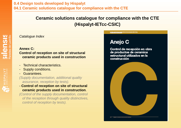*Catalogue Index*

## **Annex C:**

#### **Control of reception on site of structural ceramic products used in construction**

- Technical characteristics.
- Supply conditions.
- Guarantees.

*(Supply documentation, additional quality assurance, reception by tests).*

- **Control of reception on site of structural ceramic products used in construction**.

*(Control of the supply documentation, control of the reception through quality distinctives, control of reception by tests).*

## Anejo C

Control de recepción en obra de productos de ceramica estructural utilizados en la construcción